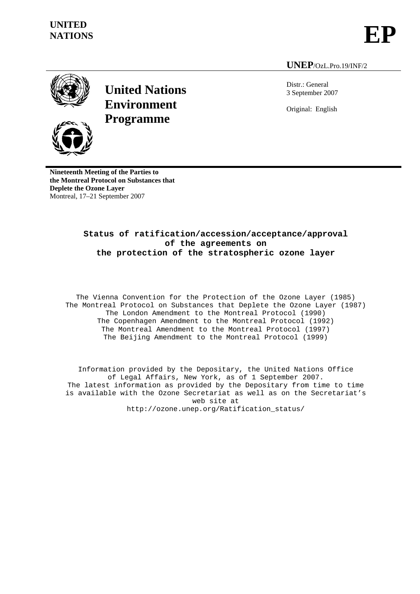# **UNITED**  NATIONS<br>NATIONS



### **UNEP**/OzL.Pro.19/INF/2





**United Nations Environment Programme**

Distr.: General 3 September 2007 Original: English

**Nineteenth Meeting of the Parties to the Montreal Protocol on Substances that Deplete the Ozone Layer**  Montreal, 17–21 September 2007

# **Status of ratification/accession/acceptance/approval of the agreements on the protection of the stratospheric ozone layer**

The Vienna Convention for the Protection of the Ozone Layer (1985) The Montreal Protocol on Substances that Deplete the Ozone Layer (1987) The London Amendment to the Montreal Protocol (1990) The Copenhagen Amendment to the Montreal Protocol (1992) The Montreal Amendment to the Montreal Protocol (1997) The Beijing Amendment to the Montreal Protocol (1999)

Information provided by the Depositary, the United Nations Office of Legal Affairs, New York, as of 1 September 2007. The latest information as provided by the Depositary from time to time is available with the Ozone Secretariat as well as on the Secretariat's web site at http://ozone.unep.org/Ratification\_status/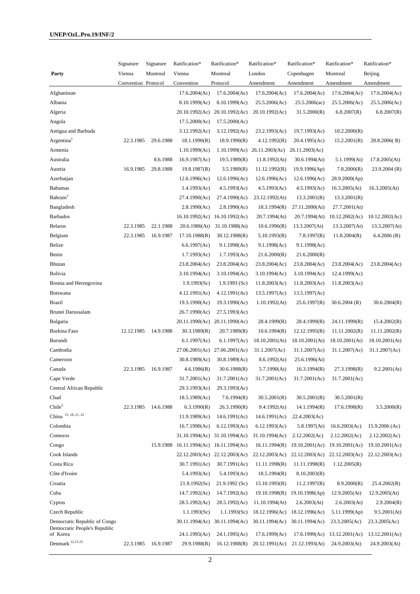|                                                                          | Signature           | Signature | Ratification*                   | Ratification*                   | Ratification*                   | Ratification*                   | Ratification*                   | Ratification*                   |
|--------------------------------------------------------------------------|---------------------|-----------|---------------------------------|---------------------------------|---------------------------------|---------------------------------|---------------------------------|---------------------------------|
| Party                                                                    | Vienna              | Montreal  | Vienna                          | Montreal                        | London                          | Copenhagen                      | Montreal                        | Beijing                         |
|                                                                          | Convention Protocol |           | Convention                      | Protocol                        | Amendment                       | Amendment                       | Amendment                       | Amendment                       |
| Afghanistan                                                              |                     |           | 17.6.2004(Ac)                   | 17.6.2004(Ac)                   | 17.6.2004(Ac)                   | 17.6.2004(Ac)                   | 17.6.2004(Ac)                   | 17.6.2004(Ac)                   |
| Albania                                                                  |                     |           | 8.10.1999(Ac)                   | 8.10.1999(Ac)                   | 25.5.2006(Ac)                   | 25.5.2006(ac)                   | 25.5.2006(Ac)                   | 25.5.2006(Ac)                   |
| Algeria                                                                  |                     |           | 20.10.1992(Ac)                  | 20.10.1992(Ac)                  | 20.10.1992(Ac)                  | 31.5.2000(R)                    | 6.8.2007(R)                     | 6.8.2007(R)                     |
| Angola                                                                   |                     |           | 17.5.2000(Ac)                   | 17.5.2000(Ac)                   |                                 |                                 |                                 |                                 |
| Antigua and Barbuda                                                      |                     |           | 3.12.1992(Ac)                   | 3.12.1992(Ac)                   | 23.2.1993(Ac)                   | 19.7.1993(Ac)                   | 10.2.2000(R)                    |                                 |
| Argentina <sup>1</sup>                                                   | 22.3.1985           | 29.6.1988 | 18.1.1990(R)                    | 18.9.1990(R)                    | 4.12.1992(R)                    | 20.4.1995(Ac)                   | 15.2.2001(R)                    | 28.8.2006(R)                    |
| Armenia                                                                  |                     |           | 1.10.1999(Ac)                   |                                 | $1.10.1999(Ac)$ 26.11.2003(Ac)  | 26.11.2003(Ac)                  |                                 |                                 |
| Australia                                                                |                     | 8.6.1988  | 16.9.1987(Ac)                   | 19.5.1989(R)                    | 11.8.1992(At)                   | 30.6.1994(At)                   | 5.1.1999(At)                    | 17.8.2005(At)                   |
| Austria                                                                  | 16.9.1985           | 29.8.1988 | 19.8.1987(R)                    | 3.5.1989(R)                     | 11.12.1992(R)                   | 19.9.1996(Ap)                   | 7.8.2000(R)                     | 23.9.2004(R)                    |
| Azerbaijan                                                               |                     |           | 12.6.1996(Ac)                   | 12.6.1996(Ac)                   | 12.6.1996(Ac)                   | 12.6.1996(Ac)                   | 28.9.2000(Ap)                   |                                 |
| Bahamas                                                                  |                     |           | 1.4.1993(Ac)                    | 4.5.1993(Ac)                    | 4.5.1993(Ac)                    | 4.5.1993(Ac)                    | 16.3.2005(At)                   | 16.3.2005(At)                   |
| Bahrain <sup>2</sup>                                                     |                     |           | 27.4.1990(Ac)                   | 27.4.1990(Ac)                   | 23.12.1992(At)                  | 13.3.2001(R)                    | 13.3.2001(R)                    |                                 |
| Bangladesh                                                               |                     |           | 2.8.1990(Ac)                    | 2.8.1990(Ac)                    | 18.3.1994(R)                    | 27.11.2000(At)                  | 27.7.2001(At)                   |                                 |
| <b>Barbados</b>                                                          |                     |           | 16.10.1992(Ac)                  | 16.10.1992(Ac)                  | 20.7.1994(At)                   | 20.7.1994(At)                   | 10.12.2002(Ac)                  | 10.12.2002(Ac)                  |
| Belarus                                                                  | 22.3.1985           | 22.1.1988 | 20.6.1986(At)                   | 31.10.1988(At)                  | 10.6.1996(R)                    | 13.3.2007 (At)                  | 13.3.2007 (At)                  | 13.3.2007(At)                   |
| Belgium                                                                  | 22.3.1985           | 16.9.1987 | 17.10.1988(R)                   | 30.12.1988(R)                   | 5.10.1993(R)                    | 7.8.1997(R)                     | 11.8.2004(R)                    | 6.4.2006(R)                     |
| Belize                                                                   |                     |           | 6.6.1997(Ac)                    | 9.1.1998(Ac)                    | 9.1.1998(Ac)                    | 9.1.1998(Ac)                    |                                 |                                 |
| Benin                                                                    |                     |           | 1.7.1993(Ac)                    | 1.7.1993(Ac)                    | 21.6.2000(R)                    | 21.6.2000(R)                    |                                 |                                 |
| Bhutan                                                                   |                     |           | 23.8.2004(Ac)                   | 23.8.2004(Ac)                   | 23.8.2004(Ac)                   | 23.8.2004(Ac)                   | 23.8.2004(Ac)                   | 23.8.2004(Ac)                   |
| Bolivia                                                                  |                     |           | 3.10.1994(Ac)                   | 3.10.1994(Ac)                   | 3.10.1994(Ac)                   | 3.10.1994(Ac)                   | 12.4.1999(Ac)                   |                                 |
| Bosnia and Herzegovina                                                   |                     |           | 1.9.1993(Sc)                    | 1.9.1993(Sc)                    | 11.8.2003(Ac)                   | 11.8.2003(Ac)                   | 11.8.2003(Ac)                   |                                 |
| Botswana                                                                 |                     |           | 4.12.1991(Ac)                   | 4.12.1991(Ac)                   | 13.5.1997(Ac)                   | 13.5.1997(Ac)                   |                                 |                                 |
| Brazil                                                                   |                     |           | 19.3.1990(Ac)                   | 19.3.1990(Ac)                   | 1.10.1992(At)                   | 25.6.1997(R)                    | 30.6.2004(R)                    | 30.6.2004(R)                    |
| Brunei Darussalam                                                        |                     |           | 26.7.1990(Ac)                   | 27.5.1993(Ac)                   |                                 |                                 |                                 |                                 |
| Bulgaria                                                                 |                     |           |                                 | 20.11.1990(Ac) 20.11.1990(Ac)   | 28.4.1999(R)                    | 28.4.1999(R)                    | 24.11.1999(R)                   | 15.4.2002(R)                    |
| <b>Burkina Faso</b>                                                      | 12.12.1985          | 14.9.1988 | 30.3.1989(R)                    | 20.7.1989(R)                    | 10.6.1994(R)                    | 12.12.1995(R)                   | 11.11.2002(R)                   | 11.11.2002(R)                   |
| Burundi                                                                  |                     |           | 6.1.1997(Ac)                    | 6.1.1997(Ac)                    | 18.10.2001(At)                  | 18.10.2001(At)                  | 18.10.2001(At)                  | 18.10.2001(At)                  |
| Cambodia                                                                 |                     |           |                                 | 27.06.2001(Ac) 27.06.2001(Ac)   | 31.1.2007(Ac)                   | 31.1.2007(Ac)                   | 31.1.2007(Ac)                   | 31.1.2007(Ac)                   |
| Cameroon                                                                 |                     |           | 30.8.1989(Ac)                   | 30.8.1989(Ac)                   | 8.6.1992(At)                    | 25.6.1996(At)                   |                                 |                                 |
| Canada                                                                   | 22.3.1985           | 16.9.1987 | 4.6.1986(R)                     | 30.6.1988(R)                    | 5.7.1990(At)                    | 16.3.1994(R)                    | 27.3.1998(R)                    | 9.2.2001(At)                    |
| Cape Verde                                                               |                     |           | 31.7.2001(Ac)                   | 31.7.2001(Ac)                   | 31.7.2001(Ac)                   | 31.7.2001(Ac)                   | 31.7.2001(Ac)                   |                                 |
| Central African Republic                                                 |                     |           | 29.3.1993(Ac)                   | 29.3.1993(Ac)                   |                                 |                                 |                                 |                                 |
| Chad                                                                     |                     |           | 18.5.1989(Ac)                   | 7.6.1994(R)                     | 30.5.2001(R)                    | 30.5.2001(R)                    | 30.5.2001(R)                    |                                 |
| Chile <sup>3</sup>                                                       | 22.3.1985           | 14.6.1988 | 6.3.1990(R)                     | 26.3.1990(R)                    | 9.4.1992(At)                    | 14.1.1994(R)                    | 17.6.1998(R)                    | 3.5.2000(R)                     |
| China 15, 18, 21, 22                                                     |                     |           | 11.9.1989(Ac)                   | 14.6.1991(Ac)                   | 14.6.1991(Ac)                   | 22.4.2003(Ac)                   |                                 |                                 |
| Colombia                                                                 |                     |           | 16.7.1990(Ac)                   | 6.12.1993(Ac)                   | 6.12.1993(Ac)                   | 5.8.1997(At)                    | 16.6.2003(Ac)                   | $15.9.2006$ (Ac)                |
| Comoros                                                                  |                     |           |                                 | 31.10.1994(Ac) 31.10.1994(Ac)   | 31.10.1994(Ac)                  | 2.12.2002(Ac)                   | 2.12.2002(Ac)                   | 2.12.2002(Ac)                   |
| Congo                                                                    |                     | 15.9.1988 | 16.11.1994(Ac)                  | 16.11.1994(Ac)                  | 16.11.1994(R)                   | 19.10.2001(Ac)                  | 19.10.2001(Ac)                  | 19.10.2001(Ac)                  |
| Cook Islands                                                             |                     |           |                                 | 22.12.2003(Ac) 22.12.2003(Ac)   | 22.12.2003(Ac)                  |                                 | 22.12.2003(Ac) 22.12.2003(Ac)   | 22.12.2003(Ac)                  |
| Costa Rica                                                               |                     |           | 30.7.1991(Ac)                   | 30.7.1991(Ac)                   | 11.11.1998(R)                   | 11.11.1998(R)                   | 1.12.2005(R)                    |                                 |
| Côte d'Ivoire                                                            |                     |           | 5.4.1993(Ac)                    | 5.4.1993(Ac)                    | 18.5.1994(R)                    | 8.10.2003(R)                    |                                 |                                 |
| Croatia                                                                  |                     |           | 21.9.1992(Sc)                   | 21.9.1992(Sc)                   | 15.10.1993(R)                   | 11.2.1997(R)                    | 8.9.2000(R)                     | 25.4.2002(R)                    |
| Cuba                                                                     |                     |           | 14.7.1992(Ac)                   | 14.7.1992(Ac)                   | 19.10.1998(R)                   | 19.10.1998(Ap)                  | 12.9.2005(At)                   | 12.9.2005(At)                   |
| Cyprus                                                                   |                     |           | 28.5.1992(Ac)                   | 28.5.1992(Ac)                   | 11.10.1994(At)                  | 2.6.2003(At)                    | 2.6.2003(At)                    | 2.9.2004(R)                     |
| Czech Republic                                                           |                     |           | 1.1.1993(Sc)                    | 1.1.1993(Sc)                    | 18.12.1996(Ac)                  | 18.12.1996(Ac)                  | 5.11.1999(Ap)                   | 9.5.2001(At)                    |
| Democratic Republic of Congo<br>Democratic People's Republic<br>of Korea |                     |           | 30.11.1994(Ac)<br>24.1.1995(Ac) | 30.11.1994(Ac)<br>24.1.1995(Ac) | 30.11.1994(Ac)<br>17.6.1999(Ac) | 30.11.1994(Ac)<br>17.6.1999(Ac) | 23.3.2005(Ac)<br>13.12.2001(Ac) | 23.3.2005(Ac)<br>13.12.2001(Ac) |
| Denmark 12,13 23                                                         | 22.3.1985           | 16.9.1987 | 29.9.1988(R)                    | 16.12.1988(R)                   | 20.12.1991(Ac)                  | 21.12.1993(At)                  | 24.9.2003(At)                   | 24.9.2003(At)                   |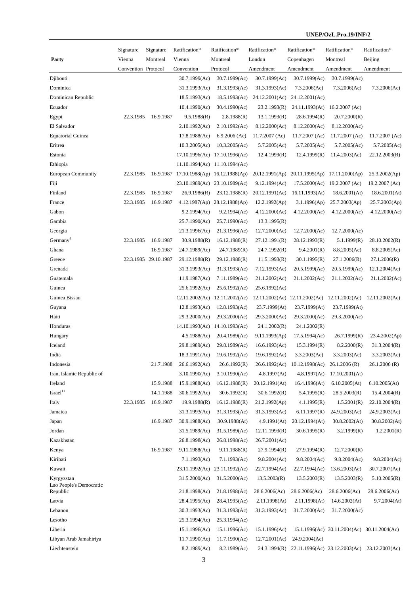|                                     | Signature           | Signature            | Ratification*                           | Ratification*                 | Ratification*    | Ratification*                                             | Ratification*                               | Ratification*  |
|-------------------------------------|---------------------|----------------------|-----------------------------------------|-------------------------------|------------------|-----------------------------------------------------------|---------------------------------------------|----------------|
| Party                               | Vienna              | Montreal             | Vienna                                  | Montreal                      | London           | Copenhagen                                                | Montreal                                    | Beijing        |
|                                     | Convention Protocol |                      | Convention                              | Protocol                      | Amendment        | Amendment                                                 | Amendment                                   | Amendment      |
| Djibouti                            |                     |                      | 30.7.1999(Ac)                           | 30.7.1999(Ac)                 | 30.7.1999(Ac)    | 30.7.1999(Ac)                                             | 30.7.1999(Ac)                               |                |
| Dominica                            |                     |                      | 31.3.1993(Ac)                           | 31.3.1993(Ac)                 | 31.3.1993(Ac)    | 7.3.2006(Ac)                                              | 7.3.2006(Ac)                                | 7.3.2006(Ac)   |
| Dominican Republic                  |                     |                      | 18.5.1993(Ac)                           | 18.5.1993(Ac)                 | 24.12.2001(Ac)   | 24.12.2001(Ac)                                            |                                             |                |
| Ecuador                             |                     |                      | 10.4.1990(Ac)                           | 30.4.1990(Ac)                 | 23.2.1993(R)     | 24.11.1993(At)                                            | $16.2.2007$ (Ac)                            |                |
| Egypt                               | 22.3.1985           | 16.9.1987            | 9.5.1988(R)                             | 2.8.1988(R)                   | 13.1.1993(R)     | 28.6.1994(R)                                              | 20.7.2000(R)                                |                |
| El Salvador                         |                     |                      | 2.10.1992(Ac)                           | 2.10.1992(Ac)                 | 8.12.2000(Ac)    | 8.12.2000(Ac)                                             | 8.12.2000(Ac)                               |                |
| <b>Equatorial Guinea</b>            |                     |                      | 17.8.1988(Ac)                           | $6.9.2006$ (Ac)               | $11.7.2007$ (Ac) | 11.7.2007 (Ac)                                            | 11.7.2007 (Ac)                              | 11.7.2007 (Ac) |
| Eritrea                             |                     |                      | 10.3.2005(Ac)                           | 10.3.2005(Ac)                 | 5.7.2005(Ac)     | 5.7.2005(Ac)                                              | 5.7.2005(Ac)                                | 5.7.2005(Ac)   |
| Estonia                             |                     |                      |                                         | 17.10.1996(Ac) 17.10.1996(Ac) | 12.4.1999(R)     | 12.4.1999(R)                                              | 11.4.2003(Ac)                               | 22.12.2003(R)  |
| Ethiopia                            |                     |                      |                                         | 11.10.1994(Ac) 11.10.1994(Ac) |                  |                                                           |                                             |                |
| <b>European Community</b>           | 22.3.1985           |                      | 16.9.1987 17.10.1988(Ap) 16.12.1988(Ap) |                               |                  | 20.12.1991(Ap) 20.11.1995(Ap) 17.11.2000(Ap)              |                                             | 25.3.2002(Ap)  |
| Fiji                                |                     |                      |                                         | 23.10.1989(Ac) 23.10.1989(Ac) | 9.12.1994(Ac)    |                                                           | 17.5.2000(Ac) 19.2.2007 (Ac)                | 19.2.2007 (Ac) |
| Finland                             | 22.3.1985           | 16.9.1987            | 26.9.1986(R)                            | 23.12.1988(R)                 | 20.12.1991(Ac)   | 16.11.1993(At)                                            | 18.6.2001(At)                               | 18.6.2001(At)  |
| France                              | 22.3.1985           | 16.9.1987            |                                         | 4.12.1987(Ap) 28.12.1988(Ap)  | 12.2.1992(Ap)    | $3.1.1996$ (Ap)                                           | 25.7.2003(Ap)                               | 25.7.2003(Ap)  |
| Gabon                               |                     |                      | 9.2.1994(Ac)                            | 9.2.1994(Ac)                  | 4.12.2000(Ac)    | 4.12.2000(Ac)                                             | 4.12.2000(Ac)                               | 4.12.2000(Ac)  |
| Gambia                              |                     |                      | 25.7.1990(Ac)                           | 25.7.1990(Ac)                 | 13.3.1995(R)     |                                                           |                                             |                |
| Georgia                             |                     |                      | 21.3.1996(Ac)                           | 21.3.1996(Ac)                 | 12.7.2000(Ac)    | 12.7.2000(Ac)                                             | 12.7.2000(Ac)                               |                |
| Germany <sup>4</sup>                | 22.3.1985           | 16.9.1987            | 30.9.1988(R)                            | 16.12.1988(R)                 | 27.12.1991(R)    | 28.12.1993(R)                                             | 5.1.1999(R)                                 | 28.10.2002(R)  |
| Ghana                               |                     | 16.9.1987            | 24.7.1989(Ac)                           | 24.7.1989(R)                  | 24.7.1992(R)     | 9.4.2001(R)                                               | 8.8.2005(Ac)                                | 8.8.2005(Ac)   |
| Greece                              |                     | 22.3.1985 29.10.1987 | 29.12.1988(R)                           | 29.12.1988(R)                 | 11.5.1993(R)     | 30.1.1995(R)                                              | 27.1.2006(R)                                | 27.1.2006(R)   |
| Grenada                             |                     |                      | 31.3.1993(Ac)                           | 31.3.1993(Ac)                 | 7.12.1993(Ac)    | 20.5.1999(Ac)                                             | 20.5.1999(Ac)                               | 12.1.2004(Ac)  |
| Guatemala                           |                     |                      | 11.9.1987(Ac)                           | 7.11.1989(Ac)                 | 21.1.2002(Ac)    | 21.1.2002(Ac)                                             | 21.1.2002(Ac)                               | 21.1.2002(Ac)  |
| Guinea                              |                     |                      | 25.6.1992(Ac)                           | 25.6.1992(Ac)                 | 25.6.1992(Ac)    |                                                           |                                             |                |
| Guinea Bissau                       |                     |                      |                                         | 12.11.2002(Ac) 12.11.2002(Ac) |                  | $12.11.2002(Ac)$ $12.11.2002(Ac)$ $12.11.2002(Ac)$        |                                             | 12.11.2002(Ac) |
| Guyana                              |                     |                      | 12.8.1993(Ac)                           | 12.8.1993(Ac)                 | 23.7.1999(At)    | 23.7.1999(At)                                             | 23.7.1999(At)                               |                |
| Haiti                               |                     |                      | 29.3.2000(Ac)                           | 29.3.2000(Ac)                 | 29.3.2000(Ac)    | 29.3.2000(Ac)                                             | 29.3.2000(Ac)                               |                |
| Honduras                            |                     |                      |                                         | 14.10.1993(Ac) 14.10.1993(Ac) | 24.1.2002(R)     | 24.1.2002(R)                                              |                                             |                |
| Hungary                             |                     |                      | 4.5.1988(Ac)                            | 20.4.1989(Ac)                 | 9.11.1993(Ap)    | 17.5.1994(Ac)                                             | 26.7.1999(R)                                | 23.4.2002(Ap)  |
| Iceland                             |                     |                      | 29.8.1989(Ac)                           | 29.8.1989(Ac)                 | 16.6.1993(Ac)    | 15.3.1994(R)                                              | 8.2.2000(R)                                 | 31.3.2004(R)   |
| India                               |                     |                      | 18.3.1991(Ac)                           | 19.6.1992(Ac)                 | 19.6.1992(Ac)    | 3.3.2003(Ac)                                              | 3.3.2003(Ac)                                | 3.3.2003(Ac)   |
| Indonesia                           |                     | 21.7.1988            | 26.6.1992(Ac)                           | 26.6.1992(R)                  |                  | 26.6.1992(Ac) 10.12.1998(Ac)                              | 26.1.2006(R)                                | 26.1.2006 (R)  |
| Iran, Islamic Republic of           |                     |                      | 3.10.1990(Ac)                           | 3.10.1990(Ac)                 | 4.8.1997(At)     | 4.8.1997(At)                                              | 17.10.2001(At)                              |                |
| Ireland                             |                     | 15.9.1988            | 15.9.1988(Ac)                           | 16.12.1988(R)                 | 20.12.1991(At)   | 16.4.1996(At)                                             | 6.10.2005(At)                               | 6.10.2005(At)  |
| $\mbox{Israel}^{11}$                |                     | 14.1.1988            | 30.6.1992(Ac)                           | 30.6.1992(R)                  | 30.6.1992(R)     | 5.4.1995(R)                                               | 28.5.2003(R)                                | 15.4.2004(R)   |
| Italy                               | 22.3.1985           | 16.9.1987            | 19.9.1988(R)                            | 16.12.1988(R)                 | 21.2.1992(Ap)    | 4.1.1995(R)                                               | 1.5.2001(R)                                 | 22.10.2004(R)  |
| Jamaica                             |                     |                      | 31.3.1993(Ac)                           | 31.3.1993(Ac)                 | 31.3.1993(Ac)    | 6.11.1997(R)                                              | 24.9.2003(Ac)                               | 24.9.2003(Ac)  |
| Japan                               |                     | 16.9.1987            | 30.9.1988(Ac)                           | 30.9.1988(At)                 | 4.9.1991(At)     | 20.12.1994(At)                                            | 30.8.2002(At)                               | 30.8.2002(At)  |
| Jordan                              |                     |                      | 31.5.1989(Ac)                           | 31.5.1989(Ac)                 | 12.11.1993(R)    | 30.6.1995(R)                                              | 3.2.1999(R)                                 | 1.2.2001(R)    |
| Kazakhstan                          |                     |                      | 26.8.1998(Ac)                           | 26.8.1998(Ac)                 | 26.7.2001(Ac)    |                                                           |                                             |                |
| Kenya                               |                     | 16.9.1987            | 9.11.1988(Ac)                           | 9.11.1988(R)                  | 27.9.1994(R)     | 27.9.1994(R)                                              | 12.7.2000(R)                                |                |
| Kiribati                            |                     |                      | 7.1.1993(Ac)                            | 7.1.1993(Ac)                  | 9.8.2004(Ac)     | 9.8.2004(Ac)                                              | 9.8.2004(Ac)                                | 9.8.2004(Ac)   |
| Kuwait                              |                     |                      |                                         | 23.11.1992(Ac) 23.11.1992(Ac) | 22.7.1994(Ac)    | 22.7.1994(Ac)                                             | 13.6.2003(Ac)                               | 30.7.2007(Ac)  |
| Kyrgyzstan                          |                     |                      | 31.5.2000(Ac)                           | 31.5.2000(Ac)                 | 13.5.2003(R)     | 13.5.2003(R)                                              | 13.5.2003(R)                                | 5.10.2005(R)   |
| Lao People's Democratic<br>Republic |                     |                      | 21.8.1998(Ac)                           | 21.8.1998(Ac)                 | 28.6.2006(Ac)    | 28.6.2006(Ac)                                             | 28.6.2006(Ac)                               | 28.6.2006(Ac)  |
| Latvia                              |                     |                      | 28.4.1995(Ac)                           | 28.4.1995(Ac)                 | 2.11.1998(At)    | 2.11.1998(At)                                             | 14.6.2002(At)                               | 9.7.2004(At)   |
| Lebanon                             |                     |                      | 30.3.1993(Ac)                           | 31.3.1993(Ac)                 | 31.3.1993(Ac)    | 31.7.2000(Ac)                                             | 31.7.2000(Ac)                               |                |
| Lesotho                             |                     |                      | 25.3.1994(Ac)                           | 25.3.1994(Ac)                 |                  |                                                           |                                             |                |
| Liberia                             |                     |                      | 15.1.1996(Ac)                           | 15.1.1996(Ac)                 | 15.1.1996(Ac)    |                                                           | 15.1.1996(Ac) 30.11.2004(Ac) 30.11.2004(Ac) |                |
| Libyan Arab Jamahiriya              |                     |                      | 11.7.1990(Ac)                           | 11.7.1990(Ac)                 | 12.7.2001(Ac)    | 24.9.2004(Ac)                                             |                                             |                |
| Liechtenstein                       |                     |                      | 8.2.1989(Ac)                            | 8.2.1989(Ac)                  |                  | 24.3.1994(R) 22.11.1996(Ac) 23.12.2003(Ac) 23.12.2003(Ac) |                                             |                |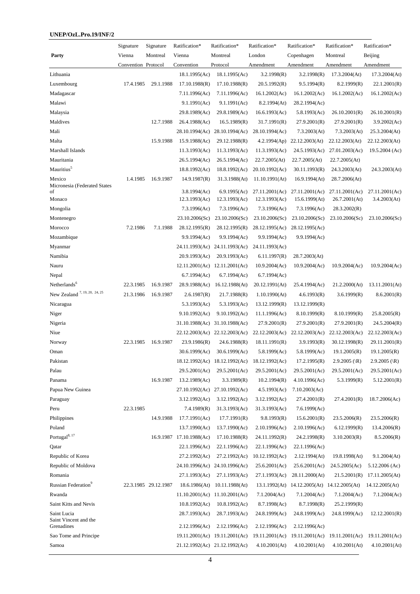|                                          | Signature           | Signature            | Ratification*            | Ratification*                 | Ratification*  | Ratification*                                 | Ratification*  | Ratification*    |
|------------------------------------------|---------------------|----------------------|--------------------------|-------------------------------|----------------|-----------------------------------------------|----------------|------------------|
| Party                                    | Vienna              | Montreal             | Vienna                   | Montreal                      | London         | Copenhagen                                    | Montreal       | Beijing          |
|                                          | Convention Protocol |                      | Convention               | Protocol                      | Amendment      | Amendment                                     | Amendment      | Amendment        |
| Lithuania                                |                     |                      | 18.1.1995(Ac)            | 18.1.1995(Ac)                 | 3.2.1998(R)    | 3.2.1998(R)                                   | 17.3.2004(At)  | 17.3.2004(At)    |
| Luxembourg                               | 17.4.1985           | 29.1.1988            | 17.10.1988(R)            | 17.10.1988(R)                 | 20.5.1992(R)   | 9.5.1994(R)                                   | 8.2.1999(R)    | 22.1.2001(R)     |
| Madagascar                               |                     |                      | 7.11.1996(Ac)            | 7.11.1996(Ac)                 | 16.1.2002(Ac)  | 16.1.2002(Ac)                                 | 16.1.2002(Ac)  | 16.1.2002(Ac)    |
| Malawi                                   |                     |                      | 9.1.1991(Ac)             | 9.1.1991(Ac)                  | 8.2.1994(At)   | 28.2.1994(Ac)                                 |                |                  |
| Malaysia                                 |                     |                      | 29.8.1989(Ac)            | 29.8.1989(Ac)                 | 16.6.1993(Ac)  | 5.8.1993(Ac)                                  | 26.10.2001(R)  | 26.10.2001(R)    |
| Maldives                                 |                     | 12.7.1988            | 26.4.1988(Ac)            | 16.5.1989(R)                  | 31.7.1991(R)   | 27.9.2001(R)                                  | 27.9.2001(R)   | 3.9.2002(Ac)     |
| Mali                                     |                     |                      |                          | 28.10.1994(Ac) 28.10.1994(Ac) | 28.10.1994(Ac) | 7.3.2003(At)                                  | 7.3.2003(At)   | 25.3.2004(At)    |
| Malta                                    |                     | 15.9.1988            | 15.9.1988(Ac)            | 29.12.1988(R)                 |                | $4.2.1994(\text{Ap})$ $22.12.2003(\text{At})$ | 22.12.2003(At) | 22.12.2003(At)   |
| Marshall Islands                         |                     |                      | 11.3.1993(Ac)            | 11.3.1993(Ac)                 | 11.3.1993(Ac)  | 24.5.1993(Ac)                                 | 27.01.2003(Ac) | 19.5.2004 (Ac)   |
| Mauritania                               |                     |                      | 26.5.1994(Ac)            | 26.5.1994(Ac)                 | 22.7.2005(At)  | 22.7.2005(At)                                 | 22.7.2005(At)  |                  |
| Mauritius <sup>5</sup>                   |                     |                      | 18.8.1992(Ac)            | 18.8.1992(Ac)                 | 20.10.1992(Ac) | 30.11.1993(R)                                 | 24.3.2003(At)  | 24.3.2003(At)    |
| Mexico                                   | 1.4.1985            | 16.9.1987            | 14.9.1987(R)             | 31.3.1988(At)                 | 11.10.1991(At) | 16.9.1994(At)                                 | 28.7.2006(At)  |                  |
| Micronesia (Federated States<br>of       |                     |                      | 3.8.1994(Ac)             | 6.9.1995(Ac)                  | 27.11.2001(Ac) | 27.11.2001(Ac)                                | 27.11.2001(Ac) | 27.11.2001(Ac)   |
| Monaco                                   |                     |                      | 12.3.1993(Ac)            | 12.3.1993(Ac)                 | 12.3.1993(Ac)  | 15.6.1999(At)                                 | 26.7.2001(At)  | 3.4.2003(At)     |
| Mongolia                                 |                     |                      | 7.3.1996(Ac)             | 7.3.1996(Ac)                  | 7.3.1996(Ac)   | 7.3.1996(Ac)                                  | 28.3.2002(R)   |                  |
| Montenegro                               |                     |                      | 23.10.2006(Sc)           | 23.10.2006(Sc)                | 23.10.2006(Sc) | 23.10.2006(Sc)                                | 23.10.2006(Sc) | 23.10.2006(Sc)   |
| Morocco                                  | 7.2.1986            | 7.1.1988             | 28.12.1995(R)            | 28.12.1995(R)                 | 28.12.1995(Ac) | 28.12.1995(Ac)                                |                |                  |
| Mozambique                               |                     |                      | 9.9.1994(Ac)             | 9.9.1994(Ac)                  | 9.9.1994(Ac)   | 9.9.1994(Ac)                                  |                |                  |
| Myanmar                                  |                     |                      |                          | 24.11.1993(Ac) 24.11.1993(Ac) | 24.11.1993(Ac) |                                               |                |                  |
| Namibia                                  |                     |                      | 20.9.1993(Ac)            | 20.9.1993(Ac)                 | 6.11.1997(R)   | 28.7.2003(At)                                 |                |                  |
| Nauru                                    |                     |                      |                          | 12.11.2001(Ac) 12.11.2001(Ac) | 10.9.2004(Ac)  | 10.9.2004(Ac)                                 | 10.9.2004(Ac)  | 10.9.2004(Ac)    |
| Nepal                                    |                     |                      | 6.7.1994(Ac)             | 6.7.1994(Ac)                  | 6.7.1994(Ac)   |                                               |                |                  |
| Netherlands <sup>6</sup>                 | 22.3.1985           | 16.9.1987            | 28.9.1988(Ac)            | 16.12.1988(At)                | 20.12.1991(At) | 25.4.1994(Ac)                                 | 21.2.2000(At)  | 13.11.2001(At)   |
| New Zealand <sup>7, 19, 20, 24, 25</sup> | 21.3.1986           | 16.9.1987            | 2.6.1987(R)              | 21.7.1988(R)                  | 1.10.1990(At)  | 4.6.1993(R)                                   | 3.6.1999(R)    | 8.6.2001(R)      |
| Nicaragua                                |                     |                      | 5.3.1993(Ac)             | 5.3.1993(Ac)                  | 13.12.1999(R)  | 13.12.1999(R)                                 |                |                  |
| Niger                                    |                     |                      | 9.10.1992(Ac)            | 9.10.1992(Ac)                 | 11.1.1996(Ac)  | 8.10.1999(R)                                  | 8.10.1999(R)   | 25.8.2005(R)     |
| Nigeria                                  |                     |                      |                          | 31.10.1988(Ac) 31.10.1988(Ac) | 27.9.2001(R)   | 27.9.2001(R)                                  | 27.9.2001(R)   | 24.5.2004(R)     |
| Niue                                     |                     |                      |                          | 22.12.2003(Ac) 22.12.2003(Ac) |                | 22.12.2003(Ac) 22.12.2003(Ac)                 | 22.12.2003(Ac) | 22.12.2003(Ac)   |
| Norway                                   | 22.3.1985           | 16.9.1987            | 23.9.1986(R)             | 24.6.1988(R)                  | 18.11.1991(R)  | 3.9.1993(R)                                   | 30.12.1998(R)  | 29.11.2001(R)    |
| Oman                                     |                     |                      | 30.6.1999(Ac)            | 30.6.1999(Ac)                 | 5.8.1999(Ac)   | 5.8.1999(Ac)                                  | 19.1.2005(R)   | 19.1.2005(R)     |
| Pakistan                                 |                     |                      |                          | 18.12.1992(Ac) 18.12.1992(Ac) | 18.12.1992(Ac) | 17.2.1995(R)                                  | 2.9.2005 (\R)  | 2.9.2005 (\R)    |
| Palau                                    |                     |                      | 29.5.2001(Ac)            | 29.5.2001(Ac)                 | 29.5.2001(Ac)  | 29.5.2001(Ac)                                 | 29.5.2001(Ac)  | 29.5.2001(Ac)    |
| Panama                                   |                     | 16.9.1987            | 13.2.1989(Ac)            | 3.3.1989(R)                   | 10.2.1994(R)   | 4.10.1996(Ac)                                 | 5.3.1999(R)    | 5.12.2001(R)     |
| Papua New Guinea                         |                     |                      |                          | 27.10.1992(Ac) 27.10.1992(Ac) | 4.5.1993(Ac)   | 7.10.2003(Ac)                                 |                |                  |
| Paraguay                                 |                     |                      | 3.12.1992(Ac)            | 3.12.1992(Ac)                 | 3.12.1992(Ac)  | 27.4.2001(R)                                  | 27.4.2001(R)   | 18.7.2006(Ac)    |
| Peru                                     | 22.3.1985           |                      | 7.4.1989(R)              | 31.3.1993(Ac)                 | 31.3.1993(Ac)  | 7.6.1999(Ac)                                  |                |                  |
| Philippines                              |                     | 14.9.1988            | 17.7.1991(Ac)            | 17.7.1991(R)                  | 9.8.1993(R)    | 15.6.2001(R)                                  | 23.5.2006(R)   | 23.5.2006(R)     |
| Poland                                   |                     |                      | 13.7.1990(Ac)            | 13.7.1990(Ac)                 | 2.10.1996(Ac)  | 2.10.1996(Ac)                                 | 6.12.1999(R)   | 13.4.2006(R)     |
| Portugal <sup>8, 17</sup>                |                     |                      | 16.9.1987 17.10.1988(Ac) | 17.10.1988(R)                 | 24.11.1992(R)  | 24.2.1998(R)                                  | 3.10.2003(R)   | 8.5.2006(R)      |
| Qatar                                    |                     |                      | 22.1.1996(Ac)            | 22.1.1996(Ac)                 | 22.1.1996(Ac)  | 22.1.1996(Ac)                                 |                |                  |
| Republic of Korea                        |                     |                      | 27.2.1992(Ac)            | 27.2.1992(Ac)                 | 10.12.1992(Ac) | 2.12.1994(At)                                 | 19.8.1998(At)  | 9.1.2004(At)     |
| Republic of Moldova                      |                     |                      |                          | 24.10.1996(Ac) 24.10.1996(Ac) | 25.6.2001(Ac)  | 25.6.2001(Ac)                                 | 24.5.2005(Ac)  | $5.12.2006$ (Ac) |
| Romania                                  |                     |                      | 27.1.1993(Ac)            | 27.1.1993(Ac)                 | 27.1.1993(Ac)  | 28.11.2000(At)                                | 21.5.2001(R)   | 17.11.2005(At)   |
| Russian Federation <sup>9</sup>          |                     | 22.3.1985 29.12.1987 | 18.6.1986(At)            | 10.11.1988(At)                |                | 13.1.1992(At) 14.12.2005(At) 14.12.2005(At)   |                | 14.12.2005(At)   |
| Rwanda                                   |                     |                      |                          | 11.10.2001(Ac) 11.10.2001(Ac) | 7.1.2004(Ac)   | 7.1.2004(Ac)                                  | 7.1.2004(Ac)   | 7.1.2004(Ac)     |
| Saint Kitts and Nevis                    |                     |                      | 10.8.1992(Ac)            | 10.8.1992(Ac)                 | 8.7.1998(Ac)   | 8.7.1998(R)                                   | 25.2.1999(R)   |                  |
| Saint Lucia<br>Saint Vincent and the     |                     |                      | 28.7.1993(Ac)            | 28.7.1993(Ac)                 | 24.8.1999(Ac)  | 24.8.1999(Ac)                                 | 24.8.1999(Ac)  | 12.12.2001(R)    |
| Grenadines                               |                     |                      | 2.12.1996(Ac)            | 2.12.1996(Ac)                 | 2.12.1996(Ac)  | 2.12.1996(Ac)                                 |                |                  |
| Sao Tome and Principe                    |                     |                      |                          | 19.11.2001(Ac) 19.11.2001(Ac) | 19.11.2001(Ac) | 19.11.2001(Ac)                                | 19.11.2001(Ac) | 19.11.2001(Ac)   |
| Samoa                                    |                     |                      |                          | 21.12.1992(Ac) 21.12.1992(Ac) | 4.10.2001(At)  | 4.10.2001(At)                                 | 4.10.2001(At)  | 4.10.2001(At)    |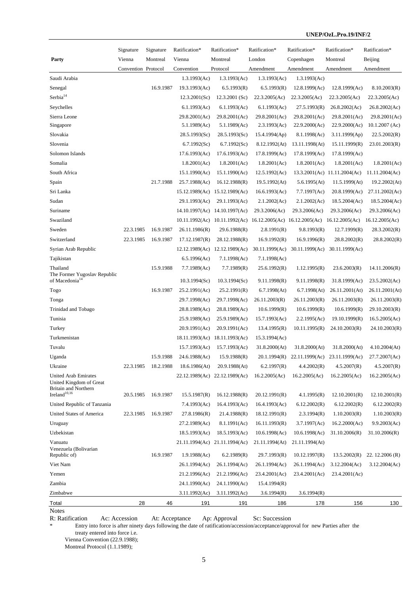|                                                            | Signature           | Signature | Ratification*  | Ratification*                 | Ratification*  | Ratification*                                      | Ratification*                | Ratification*    |
|------------------------------------------------------------|---------------------|-----------|----------------|-------------------------------|----------------|----------------------------------------------------|------------------------------|------------------|
| Party                                                      | Vienna              | Montreal  | Vienna         | Montreal                      | London         | Copenhagen                                         | Montreal                     | Beijing          |
|                                                            | Convention Protocol |           | Convention     | Protocol                      | Amendment      | Amendment                                          | Amendment                    | Amendment        |
| Saudi Arabia                                               |                     |           | 1.3.1993(Ac)   | 1.3.1993(Ac)                  | 1.3.1993(Ac)   | 1.3.1993(Ac)                                       |                              |                  |
| Senegal                                                    |                     | 16.9.1987 | 19.3.1993(Ac)  | 6.5.1993(R)                   | 6.5.1993(R)    | 12.8.1999(Ac)                                      | 12.8.1999(Ac)                | 8.10.2003(R)     |
| $\rm Serbia^{14}$                                          |                     |           | 12.3.2001(Sc)  | $12.3.2001$ (Sc)              | 22.3.2005(Ac)  | 22.3.2005(Ac)                                      | 22.3.2005(Ac)                | 22.3.2005(Ac)    |
| Seychelles                                                 |                     |           | 6.1.1993(Ac)   | 6.1.1993(Ac)                  | 6.1.1993(Ac)   | 27.5.1993(R)                                       | 26.8.2002(Ac)                | 26.8.2002(Ac)    |
| Sierra Leone                                               |                     |           | 29.8.2001(Ac)  | 29.8.2001(Ac)                 | 29.8.2001(Ac)  | 29.8.2001(Ac)                                      | 29.8.2001(Ac)                | 29.8.2001(Ac)    |
| Singapore                                                  |                     |           | 5.1.1989(Ac)   | 5.1.1989(Ac)                  | 2.3.1993(Ac)   | 22.9.2000(Ac)                                      | 22.9.2000(Ac)                | 10.1.2007 (Ac)   |
| Slovakia                                                   |                     |           | 28.5.1993(Sc)  | 28.5.1993(Sc)                 | 15.4.1994(Ap)  | 8.1.1998(Ac)                                       | 3.11.1999(Ap)                | 22.5.2002(R)     |
| Slovenia                                                   |                     |           | 6.7.1992(Sc)   | 6.7.1992(Sc)                  | 8.12.1992(At)  | 13.11.1998(At)                                     | 15.11.1999(R)                | 23.01.2003(R)    |
| Solomon Islands                                            |                     |           | 17.6.1993(Ac)  | 17.6.1993(Ac)                 | 17.8.1999(Ac)  | 17.8.1999(Ac)                                      | 17.8.1999(Ac)                |                  |
| Somalia                                                    |                     |           | 1.8.2001(Ac)   | 1.8.2001(Ac)                  | 1.8.2001(Ac)   | 1.8.2001(Ac)                                       | 1.8.2001(Ac)                 | 1.8.2001(Ac)     |
| South Africa                                               |                     |           | 15.1.1990(Ac)  | 15.1.1990(Ac)                 | 12.5.1992(Ac)  |                                                    | 13.3.2001(Ac) 11.11.2004(Ac) | 11.11.2004(Ac)   |
| Spain                                                      |                     | 21.7.1988 | 25.7.1988(Ac)  | 16.12.1988(R)                 | 19.5.1992(At)  | 5.6.1995(At)                                       | 11.5.1999(At)                | 19.2.2002(At)    |
| Sri Lanka                                                  |                     |           |                | 15.12.1989(Ac) 15.12.1989(Ac) | 16.6.1993(Ac)  | 7.7.1997(Ac)                                       | 20.8.1999(Ac)                | 27.11.2002(Ac)   |
| Sudan                                                      |                     |           | 29.1.1993(Ac)  | 29.1.1993(Ac)                 | 2.1.2002(Ac)   | 2.1.2002(Ac)                                       | 18.5.2004(Ac)                | 18.5.2004(Ac)    |
| Suriname                                                   |                     |           |                | 14.10.1997(Ac) 14.10.1997(Ac) | 29.3.2006(Ac)  | 29.3.2006(Ac)                                      | 29.3.2006(Ac)                | 29.3.2006(Ac)    |
| Swaziland                                                  |                     |           |                | 10.11.1992(Ac) 10.11.1992(Ac) |                | $16.12.2005(Ac)$ $16.12.2005(Ac)$ $16.12.2005(Ac)$ |                              | 16.12.2005(Ac)   |
| Sweden                                                     | 22.3.1985           | 16.9.1987 | 26.11.1986(R)  | 29.6.1988(R)                  | 2.8.1991(R)    | 9.8.1993(R)                                        | 12.7.1999(R)                 | 28.3.2002(R)     |
| Switzerland                                                | 22.3.1985           | 16.9.1987 | 17.12.1987(R)  | 28.12.1988(R)                 | 16.9.1992(R)   | 16.9.1996(R)                                       | 28.8.2002(R)                 | 28.8.2002(R)     |
| Syrian Arab Republic                                       |                     |           |                | 12.12.1989(Ac) 12.12.1989(Ac) | 30.11.1999(Ac) | 30.11.1999(Ac)                                     | 30.11.1999(Ac)               |                  |
| Tajikistan                                                 |                     |           | 6.5.1996(Ac)   | 7.1.1998(Ac)                  | 7.1.1998(Ac)   |                                                    |                              |                  |
| Thailand                                                   |                     | 15.9.1988 | 7.7.1989(Ac)   | 7.7.1989(R)                   | 25.6.1992(R)   | 1.12.1995(R)                                       | 23.6.2003(R)                 | 14.11.2006(R)    |
| The Former Yugoslav Republic<br>of Macedonia <sup>14</sup> |                     |           | 10.3.1994(Sc)  | 10.3.1994(Sc)                 | 9.11.1998(R)   | 9.11.1998(R)                                       | 31.8.1999(Ac)                | 23.5.2002(Ac)    |
| Togo                                                       |                     | 16.9.1987 | 25.2.1991(Ac)  | 25.2.1991(R)                  | 6.7.1998(At)   | 6.7.1998(At)                                       | 26.11.2001(At)               | 26.11.2001(At)   |
|                                                            |                     |           | 29.7.1998(Ac)  |                               |                |                                                    |                              |                  |
| Tonga                                                      |                     |           |                | 29.7.1998(Ac)                 | 26.11.2003(R)  | 26.11.2003(R)                                      | 26.11.2003(R)                | 26.11.2003(R)    |
| Trinidad and Tobago                                        |                     |           | 28.8.1989(Ac)  | 28.8.1989(Ac)                 | 10.6.1999(R)   | 10.6.1999(R)                                       | 10.6.1999(R)                 | 29.10.2003(R)    |
| Tunisia                                                    |                     |           | 25.9.1989(Ac)  | 25.9.1989(Ac)                 | 15.7.1993(Ac)  | 2.2.1995(Ac)                                       | 19.10.1999(R)                | 16.5.2005(Ac)    |
| Turkey                                                     |                     |           | 20.9.1991(Ac)  | 20.9.1991(Ac)                 | 13.4.1995(R)   | 10.11.1995(R)                                      | 24.10.2003(R)                | 24.10.2003(R)    |
| Turkmenistan                                               |                     |           | 18.11.1993(Ac) | 18.11.1993(Ac)                | 15.3.1994(Ac)  |                                                    |                              |                  |
| Tuvalu                                                     |                     |           | 15.7.1993(Ac)  | 15.7.1993(Ac)                 | 31.8.2000(At)  | 31.8.2000(At)                                      | 31.8.2000(At)                | 4.10.2004(At)    |
| Uganda                                                     |                     | 15.9.1988 | 24.6.1988(Ac)  | 15.9.1988(R)                  | 20.1.1994(R)   | 22.11.1999(Ac)                                     | 23.11.1999(Ac)               | 27.7.2007(Ac)    |
| Ukraine                                                    | 22.3.1985           | 18.2.1988 | 18.6.1986(At)  | 20.9.1988(At)                 | 6.2.1997(R)    | 4.4.2002(R)                                        | 4.5.2007(R)                  | 4.5.2007(R)      |
| <b>United Arab Emirates</b><br>United Kingdom of Great     |                     |           | 22.12.1989(Ac) | 22.12.1989(Ac)                | 16.2.2005(Ac)  | 16.2.2005(Ac)                                      | 16.2.2005(Ac)                | 16.2.2005(Ac)    |
| <b>Britain and Northern</b>                                |                     |           |                |                               |                |                                                    |                              |                  |
| $\mbox{Ireland}^{10,16}$                                   | 20.5.1985           | 16.9.1987 | 15.5.1987(R)   | 16.12.1988(R)                 | 20.12.1991(R)  | 4.1.1995(R)                                        | 12.10.2001(R)                | 12.10.2001(R)    |
| United Republic of Tanzania                                |                     |           | 7.4.1993(Ac)   | 16.4.1993(Ac)                 | 16.4.1993(Ac)  | 6.12.2002(R)                                       | 6.12.2002(R)                 | 6.12.2002(R)     |
| United States of America                                   | 22.3.1985           | 16.9.1987 | 27.8.1986(R)   | 21.4.1988(R)                  | 18.12.1991(R)  | 2.3.1994(R)                                        | 1.10.2003(R)                 | 1.10.2003(R)     |
| Uruguay                                                    |                     |           | 27.2.1989(Ac)  | 8.1.1991(Ac)                  | 16.11.1993(R)  | 3.7.1997(Ac)                                       | 16.2.2000(Ac)                | 9.9.2003(Ac)     |
| Uzbekistan                                                 |                     |           | 18.5.1993(Ac)  | 18.5.1993(Ac)                 | 10.6.1998(Ac)  | 10.6.1998(Ac)                                      | 31.10.2006(R)                | 31.10.2006(R)    |
| Vanuatu<br>Venezuela (Bolivarian                           |                     |           |                | 21.11.1994(Ac) 21.11.1994(Ac) | 21.11.1994(At) | 21.11.1994(At)                                     |                              |                  |
| Republic of)                                               |                     | 16.9.1987 | 1.9.1988(Ac)   | 6.2.1989(R)                   | 29.7.1993(R)   | 10.12.1997(R)                                      | 13.5.2002(R)                 | 22. $12.2006(R)$ |
| Viet Nam                                                   |                     |           | 26.1.1994(Ac)  | 26.1.1994(Ac)                 | 26.1.1994(Ac)  | 26.1.1994(Ac)                                      | 3.12.2004(Ac)                | 3.12.2004(Ac)    |
| Yemen                                                      |                     |           | 21.2.1996(Ac)  | 21.2.1996(Ac)                 | 23.4.2001(Ac)  | 23.4.2001(Ac)                                      | 23.4.2001(Ac)                |                  |
| Zambia                                                     |                     |           | 24.1.1990(Ac)  | 24.1.1990(Ac)                 | 15.4.1994(R)   |                                                    |                              |                  |
| Zimbabwe                                                   |                     |           | 3.11.1992(Ac)  | 3.11.1992(Ac)                 | 3.6.1994(R)    | 3.6.1994(R)                                        |                              |                  |
| Total                                                      | 28                  | 46        | 191            | 191                           | 186            | 178                                                | 156                          | 130              |
| <b>Notes</b>                                               |                     |           |                |                               |                |                                                    |                              |                  |

R: Ratification Ac: Accession At: Acceptance Ap: Approval Sc: Succession<br>
\* Entry into force is after ninety days following the date of ratification/accession/acceptance/appro

Entry into force is after ninety days following the date of ratification/accession/acceptance/approval for new Parties after the treaty entered into force i.e.

Vienna Convention (22.9.1988);

Montreal Protocol (1.1.1989);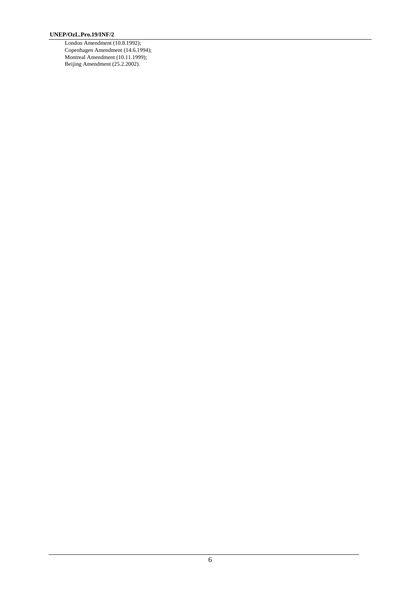London Amendment (10.8.1992); Copenhagen Amendment (14.6.1994); Montreal Amendment (10.11.1999); Beijing Amendment (25.2.2002).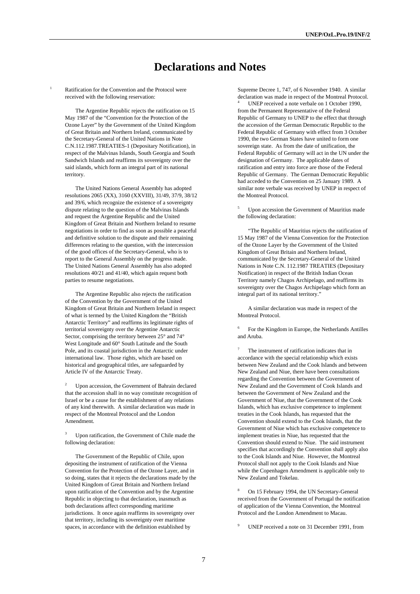# **Declarations and Notes**

Ratification for the Convention and the Protocol were received with the following reservation:

 The Argentine Republic rejects the ratification on 15 May 1987 of the "Convention for the Protection of the Ozone Layer" by the Government of the United Kingdom of Great Britain and Northern Ireland, communicated by the Secretary-General of the United Nations in Note C.N.112.1987.TREATIES-1 (Depositary Notification), in respect of the Malvinas Islands, South Georgia and South Sandwich Islands and reaffirms its sovereignty over the said islands, which form an integral part of its national territory.

 The United Nations General Assembly has adopted resolutions 2065 (XX), 3160 (XXVIII), 31/49, 37/9, 38/12 and 39/6, which recognize the existence of a sovereignty dispute relating to the question of the Malvinas Islands and request the Argentine Republic and the United Kingdom of Great Britain and Northern Ireland to resume negotiations in order to find as soon as possible a peaceful and definitive solution to the dispute and their remaining differences relating to the question, with the intercession of the good offices of the Secretary-General, who is to report to the General Assembly on the progress made. The United Nations General Assembly has also adopted resolutions 40/21 and 41/40, which again request both parties to resume negotiations.

 The Argentine Republic also rejects the ratification of the Convention by the Government of the United Kingdom of Great Britain and Northern Ireland in respect of what is termed by the United Kingdom the "British Antarctic Territory" and reaffirms its legitimate rights of territorial sovereignty over the Argentine Antarctic Sector, comprising the territory between 25° and 74° West Longitude and 60° South Latitude and the South Pole, and its coastal jurisdiction in the Antarctic under international law. Those rights, which are based on historical and geographical titles, are safeguarded by Article IV of the Antarctic Treaty.

2 Upon accession, the Government of Bahrain declared that the accession shall in no way constitute recognition of Israel or be a cause for the establishment of any relations of any kind therewith. A similar declaration was made in respect of the Montreal Protocol and the London Amendment.

Upon ratification, the Government of Chile made the following declaration:

 The Government of the Republic of Chile, upon depositing the instrument of ratification of the Vienna Convention for the Protection of the Ozone Layer, and in so doing, states that it rejects the declarations made by the United Kingdom of Great Britain and Northern Ireland upon ratification of the Convention and by the Argentine Republic in objecting to that declaration, inasmuch as both declarations affect corresponding maritime jurisdictions. It once again reaffirms its sovereignty over that territory, including its sovereignty over maritime spaces, in accordance with the definition established by

Supreme Decree 1, 747, of 6 November 1940. A similar declaration was made in respect of the Montreal Protocol.<br><sup>4</sup> UNEP received a note verbale on 1 October 1990, from the Permanent Representative of the Federal Republic of Germany to UNEP to the effect that through the accession of the German Democratic Republic to the Federal Republic of Germany with effect from 3 October 1990, the two German States have united to form one sovereign state. As from the date of unification, the Federal Republic of Germany will act in the UN under the designation of Germany. The applicable dates of ratification and entry into force are those of the Federal Republic of Germany. The German Democratic Republic had acceded to the Convention on 25 January 1989. A similar note verbale was received by UNEP in respect of the Montreal Protocol.

5 Upon accession the Government of Mauritius made the following declaration:

 "The Republic of Mauritius rejects the ratification of 15 May 1987 of the Vienna Convention for the Protection of the Ozone Layer by the Government of the United Kingdom of Great Britain and Northern Ireland, communicated by the Secretary-General of the United Nations in Note C.N. 112.1987 TREATIES (Depositary Notification) in respect of the British Indian Ocean Territory namely Chagos Archipelago, and reaffirms its sovereignty over the Chagos Archipelago which form an integral part of its national territory."

 A similar declaration was made in respect of the Montreal Protocol.

6 For the Kingdom in Europe, the Netherlands Antilles and Aruba.

7 The instrument of ratification indicates that in accordance with the special relationship which exists between New Zealand and the Cook Islands and between New Zealand and Niue, there have been consultations regarding the Convention between the Government of New Zealand and the Government of Cook Islands and between the Government of New Zealand and the Government of Niue, that the Government of the Cook Islands, which has exclusive competence to implement treaties in the Cook Islands, has requested that the Convention should extend to the Cook Islands, that the Government of Niue which has exclusive competence to implement treaties in Niue, has requested that the Convention should extend to Niue. The said instrument specifies that accordingly the Convention shall apply also to the Cook Islands and Niue. However, the Montreal Protocol shall not apply to the Cook Islands and Niue while the Copenhagen Amendment is applicable only to New Zealand and Tokelau.

8 On 15 February 1994, the UN Secretary-General received from the Government of Portugal the notification of application of the Vienna Convention, the Montreal Protocol and the London Amendment to Macau.

9 UNEP received a note on 31 December 1991, from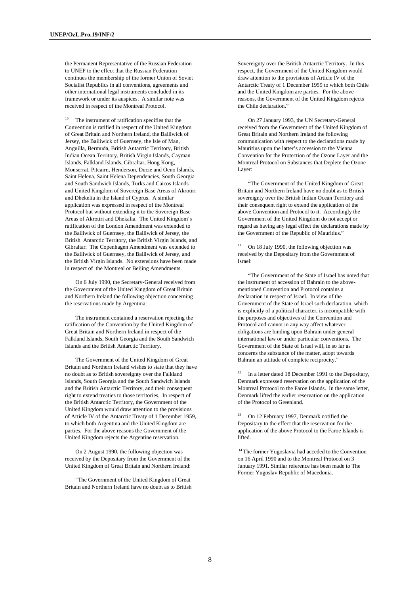the Permanent Representative of the Russian Federation to UNEP to the effect that the Russian Federation continues the membership of the former Union of Soviet Socialist Republics in all conventions, agreements and other international legal instruments concluded in its framework or under its auspices. A similar note was received in respect of the Montreal Protocol.

The instrument of ratification specifies that the Convention is ratified in respect of the United Kingdom of Great Britain and Northern Ireland, the Bailiwick of Jersey, the Bailiwick of Guernsey, the Isle of Man, Anguilla, Bermuda, British Antarctic Territory, British Indian Ocean Territory, British Virgin Islands, Cayman Islands, Falkland Islands, Gibraltar, Hong Kong, Monserrat, Pitcairn, Henderson, Ducie and Oeno Islands, Saint Helena, Saint Helena Dependencies, South Georgia and South Sandwich Islands, Turks and Caicos Islands and United Kingdom of Sovereign Base Areas of Akrotiri and Dhekelia in the Island of Cyprus. A similar application was expressed in respect of the Montreal Protocol but without extending it to the Sovereign Base Areas of Akrotiri and Dhekalia. The United Kingdom's ratification of the London Amendment was extended to the Bailiwick of Guernsey, the Bailiwick of Jersey, the British Antarctic Territory, the British Virgin Islands, and Gibraltar. The Copenhagen Amendment was extended to the Bailiwick of Guernsey, the Bailiwick of Jersey, and the British Virgin Islands. No extensions have been made in respect of the Montreal or Beijing Amendments.

 On 6 July 1990, the Secretary-General received from the Government of the United Kingdom of Great Britain and Northern Ireland the following objection concerning the reservations made by Argentina:

 The instrument contained a reservation rejecting the ratification of the Convention by the United Kingdom of Great Britain and Northern Ireland in respect of the Falkland Islands, South Georgia and the South Sandwich Islands and the British Antarctic Territory.

 The Government of the United Kingdom of Great Britain and Northern Ireland wishes to state that they have no doubt as to British sovereignty over the Falkland Islands, South Georgia and the South Sandwich Islands and the British Antarctic Territory, and their consequent right to extend treaties to those territories. In respect of the British Antarctic Territory, the Government of the United Kingdom would draw attention to the provisions of Article IV of the Antarctic Treaty of 1 December 1959, to which both Argentina and the United Kingdom are parties. For the above reasons the Government of the United Kingdom rejects the Argentine reservation.

 On 2 August 1990, the following objection was received by the Depositary from the Government of the United Kingdom of Great Britain and Northern Ireland:

 "The Government of the United Kingdom of Great Britain and Northern Ireland have no doubt as to British

Sovereignty over the British Antarctic Territory. In this respect, the Government of the United Kingdom would draw attention to the provisions of Article IV of the Antarctic Treaty of 1 December 1959 to which both Chile and the United Kingdom are parties. For the above reasons, the Government of the United Kingdom rejects the Chile declaration."

 On 27 January 1993, the UN Secretary-General received from the Government of the United Kingdom of Great Britain and Northern Ireland the following communication with respect to the declarations made by Mauritius upon the latter's accession to the Vienna Convention for the Protection of the Ozone Layer and the Montreal Protocol on Substances that Deplete the Ozone Layer:

 "The Government of the United Kingdom of Great Britain and Northern Ireland have no doubt as to British sovereignty over the British Indian Ocean Territory and their consequent right to extend the application of the above Convention and Protocol to it. Accordingly the Government of the United Kingdom do not accept or regard as having any legal effect the declarations made by the Government of the Republic of Mauritius."

On 18 July 1990, the following objection was received by the Depositary from the Government of Israel:

 "The Government of the State of Israel has noted that the instrument of accession of Bahrain to the abovementioned Convention and Protocol contains a declaration in respect of Israel. In view of the Government of the State of Israel such declaration, which is explicitly of a political character, is incompatible with the purposes and objectives of the Convention and Protocol and cannot in any way affect whatever obligations are binding upon Bahrain under general international law or under particular conventions. The Government of the State of Israel will, in so far as concerns the substance of the matter, adopt towards Bahrain an attitude of complete reciprocity."

<sup>12</sup> In a letter dated 18 December 1991 to the Depositary, Denmark expressed reservation on the application of the Montreal Protocol to the Faroe Islands. In the same letter, Denmark lifted the earlier reservation on the application of the Protocol to Greenland.

13 On 12 February 1997, Denmark notified the Depositary to the effect that the reservation for the application of the above Protocol to the Faroe Islands is lifted.

<sup>14</sup> The former Yugoslavia had acceded to the Convention on 16 April 1990 and to the Montreal Protocol on 3 January 1991. Similar reference has been made to The Former Yugoslav Republic of Macedonia.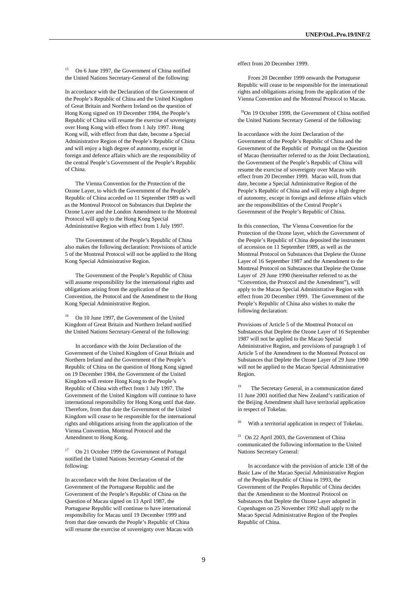15 On 6 June 1997, the Government of China notified the United Nations Secretary-General of the following:

In accordance with the Declaration of the Government of the People's Republic of China and the United Kingdom of Great Britain and Northern Ireland on the question of Hong Kong signed on 19 December 1984, the People's Republic of China will resume the exercise of sovereignty over Hong Kong with effect from 1 July 1997. Hong Kong will, with effect from that date, become a Special Administrative Region of the People's Republic of China and will enjoy a high degree of autonomy, except in foreign and defence affairs which are the responsibility of the central People's Government of the People's Republic of China.

 The Vienna Convention for the Protection of the Ozone Layer, to which the Government of the People's Republic of China acceded on 11 September 1989 as well as the Montreal Protocol on Substances that Deplete the Ozone Layer and the London Amendment to the Montreal Protocol will apply to the Hong Kong Special Administrative Region with effect from 1 July 1997.

 The Government of the People's Republic of China also makes the following declaration: Provisions of article 5 of the Montreal Protocol will not be applied to the Hong Kong Special Administrative Region.

 The Government of the People's Republic of China will assume responsibility for the international rights and obligations arising from the application of the Convention, the Protocol and the Amendment to the Hong Kong Special Administrative Region.

16 On 10 June 1997, the Government of the United Kingdom of Great Britain and Northern Ireland notified the United Nations Secretary-General of the following:

 In accordance with the Joint Declaration of the Government of the United Kingdom of Great Britain and Northern Ireland and the Government of the People's Republic of China on the question of Hong Kong signed on 19 December 1984, the Government of the United Kingdom will restore Hong Kong to the People's Republic of China with effect from 1 July 1997. The Government of the United Kingdom will continue to have international responsibility for Hong Kong until that date. Therefore, from that date the Government of the United Kingdom will cease to be responsible for the international rights and obligations arising from the application of the Vienna Convention, Montreal Protocol and the Amendment to Hong Kong.

17 On 21 October 1999 the Government of Portugal notified the United Nations Secretary-General of the following:

In accordance with the Joint Declaration of the Government of the Portuguese Republic and the Government of the People's Republic of China on the Question of Macau signed on 13 April 1987, the Portuguese Republic will continue to have international responsibility for Macau until 19 December 1999 and from that date onwards the People's Republic of China will resume the exercise of sovereignty over Macau with effect from 20 December 1999.

 From 20 December 1999 onwards the Portuguese Republic will cease to be responsible for the international rights and obligations arising from the application of the Vienna Convention and the Montreal Protocol to Macau.

 18On 19 October 1999, the Government of China notified the United Nations Secretary General of the following:

In accordance with the Joint Declaration of the Government of the People's Republic of China and the Government of the Republic of Portugal on the Question of Macao (hereinafter referred to as the Joint Declaration), the Government of the People's Republic of China will resume the exercise of sovereignty over Macao with effect from 20 December 1999. Macao will, from that date, become a Special Administrative Region of the People's Republic of China and will enjoy a high degree of autonomy, except in foreign and defense affairs which are the responsibilities of the Central People's Government of the People's Republic of China.

In this connection, The Vienna Convention for the Protection of the Ozone layer, which the Government of the People's Republic of China deposited the instrument of accession on 11 September 1989, as well as the Montreal Protocol on Substances that Deplete the Ozone Layer of 16 September 1987 and the Amendment to the Montreal Protocol on Substances that Deplete the Ozone Layer of 29 June 1990 (hereinafter referred to as the "Convention, the Protocol and the Amendment"), will apply to the Macao Special Administrative Region with effect from 20 December 1999. The Government of the People's Republic of China also wishes to make the following declaration:

Provisions of Article 5 of the Montreal Protocol on Substances that Deplete the Ozone Layer of 16 September 1987 will not be applied to the Macao Special Administrative Region, and provisions of paragraph 1 of Article 5 of the Amendment to the Montreal Protocol on Substances that Deplete the Ozone Layer of 29 June 1990 will not be applied to the Macao Special Administrative Region.

<sup>19</sup> The Secretary General, in a communication dated 11 June 2001 notified that New Zealand's ratification of the Beijing Amendment shall have territorial application in respect of Tokelau.

With a territorial application in respect of Tokelau.

21 On 22 April 2003, the Government of China communicated the following information to the United Nations Secretary General:

 In accordance with the provision of article 138 of the Basic Law of the Macao Special Administrative Region of the Peoples Republic of China in 1993, the Government of the Peoples Republic of China decides that the Amendment to the Montreal Protocol on Substances that Deplete the Ozone Layer adopted in Copenhagen on 25 November 1992 shall apply to the Macao Special Administrative Region of the Peoples Republic of China.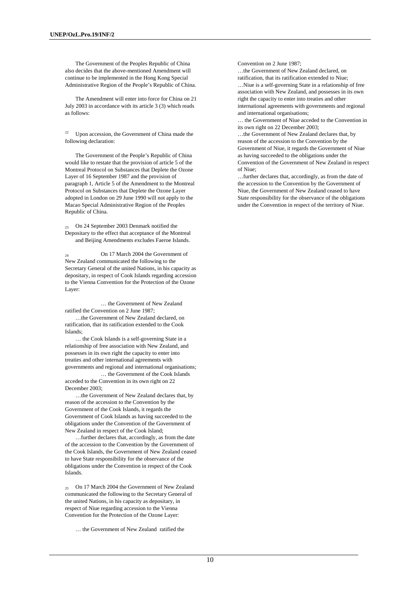The Government of the Peoples Republic of China also decides that the above-mentioned Amendment will continue to be implemented in the Hong Kong Special Administrative Region of the People's Republic of China.

 The Amendment will enter into force for China on 21 July 2003 in accordance with its article 3 (3) which reads as follows:

Upon accession, the Government of China made the following declaration:

 The Government of the People's Republic of China would like to restate that the provision of article 5 of the Montreal Protocol on Substances that Deplete the Ozone Layer of 16 September 1987 and the provision of paragraph 1, Article 5 of the Amendment to the Montreal Protocol on Substances that Deplete the Ozone Layer adopted in London on 29 June 1990 will not apply to the Macao Special Administrative Region of the Peoples Republic of China.

23 On 24 September 2003 Denmark notified the Depositary to the effect that acceptance of the Montreal and Beijing Amendments excludes Faeroe Islands.

24 On 17 March 2004 the Government of New Zealand communicated the following to the Secretary General of the united Nations, in his capacity as depositary, in respect of Cook Islands regarding accession to the Vienna Convention for the Protection of the Ozone Layer:

 … the Government of New Zealand ratified the Convention on 2 June 1987;

 …the Government of New Zealand declared, on ratification, that its ratification extended to the Cook Islands;

 … the Cook Islands is a self-governing State in a relationship of free association with New Zealand, and possesses in its own right the capacity to enter into treaties and other international agreements with governments and regional and international organisations;

 … the Government of the Cook Islands acceded to the Convention in its own right on 22 December 2003;

 …the Government of New Zealand declares that, by reason of the accession to the Convention by the Government of the Cook Islands, it regards the Government of Cook Islands as having succeeded to the obligations under the Convention of the Government of New Zealand in respect of the Cook Island;

 …further declares that, accordingly, as from the date of the accession to the Convention by the Government of the Cook Islands, the Government of New Zealand ceased to have State responsibility for the observance of the obligations under the Convention in respect of the Cook Islands.

25 On 17 March 2004 the Government of New Zealand communicated the following to the Secretary General of the united Nations, in his capacity as depositary, in respect of Niue regarding accession to the Vienna Convention for the Protection of the Ozone Layer:

… the Government of New Zealand ratified the

Convention on 2 June 1987;

…the Government of New Zealand declared, on ratification, that its ratification extended to Niue;

…Niue is a self-governing State in a relationship of free association with New Zealand, and possesses in its own right the capacity to enter into treaties and other international agreements with governments and regional and international organisations;

… the Government of Niue acceded to the Convention in its own right on 22 December 2003;

…the Government of New Zealand declares that, by reason of the accession to the Convention by the Government of Niue, it regards the Government of Niue as having succeeded to the obligations under the Convention of the Government of New Zealand in respect of Niue;

…further declares that, accordingly, as from the date of the accession to the Convention by the Government of Niue, the Government of New Zealand ceased to have State responsibility for the observance of the obligations under the Convention in respect of the territory of Niue.